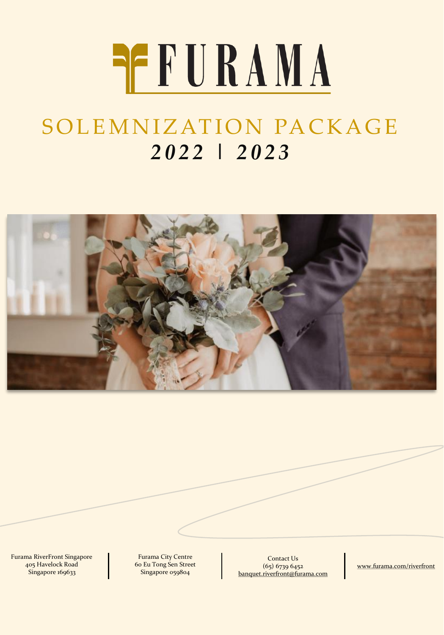# **REFURAMA**

## SOLEMNIZATION PACKAGE *2 0 2 2 | 2 0 2 3*



Furama RiverFront Singapore 405 Havelock Road Singapore 169633

Furama City Centre 60 Eu Tong Sen Street Singapore 059804

Contact Us (65) 6739 6452 [banquet.riverfront@furama.com](mailto:banquet.riverfront@furama.com)

[www.furama.com/riverfront](file://frffp2/fnb$/CATERING SALES/Packages/ALWAYS EDIT FROM HERE (F&B COORDINATOR ONLY)/Past Packages/End on 28 June 2019/www.furama.com/riverfront)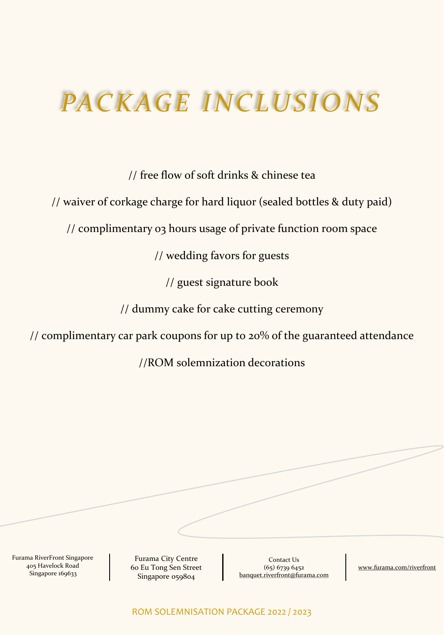# **PACKAGE INCLUSIONS**

// free flow of soft drinks & chinese tea

// waiver of corkage charge for hard liquor (sealed bottles & duty paid)

// complimentary 03 hours usage of private function room space

// wedding favors for guests

// guest signature book

// dummy cake for cake cutting ceremony

// complimentary car park coupons for up to 20% of the guaranteed attendance

//ROM solemnization decorations

Furama RiverFront Singapore 405 Havelock Road Singapore 169633

Furama City Centre 60 Eu Tong Sen Street Singapore 059804

Contact Us (65) 6739 6452 [banquet.riverfront@furama.com](mailto:banquet.riverfront@furama.com)

[www.furama.com/riverfront](file://frffp2/fnb$/CATERING SALES/Packages/ALWAYS EDIT FROM HERE (F&B COORDINATOR ONLY)/Past Packages/End on 28 June 2019/www.furama.com/riverfront)

ROM SOLEMNISATION PACKAGE 2022 / 2023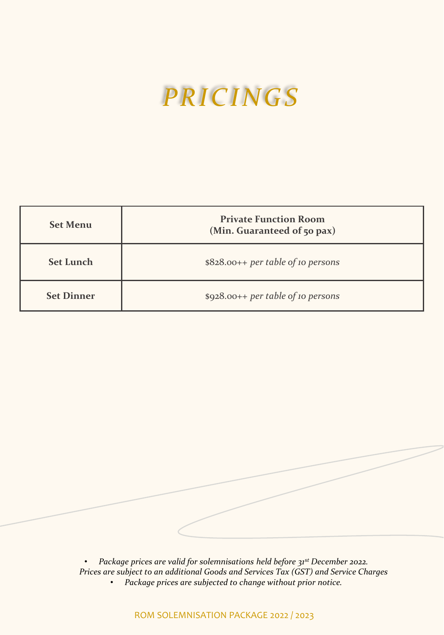# *PR I C I N G S*

| <b>Set Menu</b>   | <b>Private Function Room</b><br>(Min. Guaranteed of 50 pax) |
|-------------------|-------------------------------------------------------------|
| <b>Set Lunch</b>  | $$828.00++$ per table of 10 persons                         |
| <b>Set Dinner</b> | $$928.00++$ per table of 10 persons                         |

• *Package prices are valid for solemnisations held before 31st December 2022. Prices are subject to an additional Goods and Services Tax (GST) and Service Charges* • *Package prices are subjected to change without prior notice.*

ROM SOLEMNISATION PACKAGE 2022 / 2023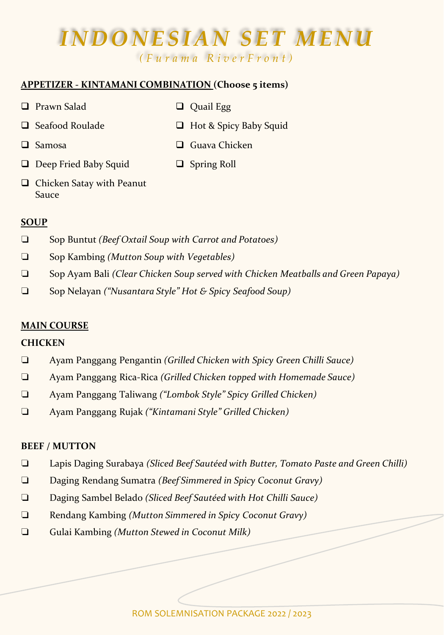# *INDONESIAN SET MENU*

*( F u r a m a R i v e r F r o n t )*

#### **APPETIZER - KINTAMANI COMBINATION (Choose 5 items)**

- ❑ Prawn Salad ❑ Quail Egg
- 

- 
- ❑ Seafood Roulade ❑ Hot & Spicy Baby Squid
- 
- ❑ Samosa ❑ Guava Chicken
- ❑ Deep Fried Baby Squid ❑ Spring Roll
- 
- ❑ Chicken Satay with Peanut Sauce

#### **SOUP**

- ❏ Sop Buntut *(Beef Oxtail Soup with Carrot and Potatoes)*
- ❏ Sop Kambing *(Mutton Soup with Vegetables)*
- ❏ Sop Ayam Bali *(Clear Chicken Soup served with Chicken Meatballs and Green Papaya)*
- ❏ Sop Nelayan *("Nusantara Style" Hot & Spicy Seafood Soup)*

#### **MAIN COURSE**

#### **CHICKEN**

- ❏ Ayam Panggang Pengantin *(Grilled Chicken with Spicy Green Chilli Sauce)*
- ❏ Ayam Panggang Rica-Rica *(Grilled Chicken topped with Homemade Sauce)*
- ❏ Ayam Panggang Taliwang *("Lombok Style" Spicy Grilled Chicken)*
- ❏ Ayam Panggang Rujak *("Kintamani Style" Grilled Chicken)*

#### **BEEF / MUTTON**

- ❏ Lapis Daging Surabaya *(Sliced Beef Sautéed with Butter, Tomato Paste and Green Chilli)*
- ❏ Daging Rendang Sumatra *(Beef Simmered in Spicy Coconut Gravy)*
- ❏ Daging Sambel Belado *(Sliced Beef Sautéed with Hot Chilli Sauce)*
- ❏ Rendang Kambing *(Mutton Simmered in Spicy Coconut Gravy)*
- ❏ Gulai Kambing *(Mutton Stewed in Coconut Milk)*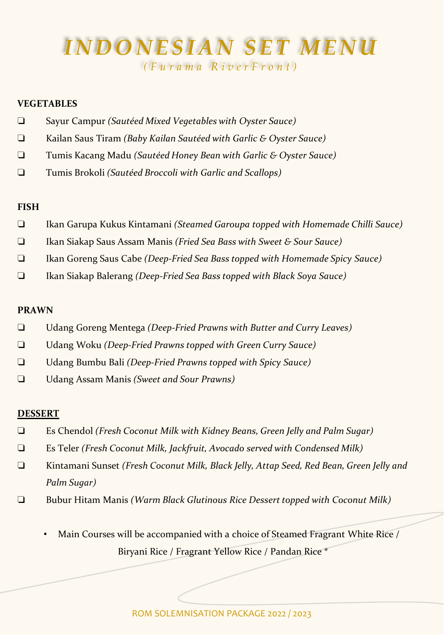# *INDONESIAN SET MENU*

*( F u r a m a R i v e r F r o n t )*

#### **VEGETABLES**

- ❏ Sayur Campur *(Sautéed Mixed Vegetables with Oyster Sauce)*
- ❏ Kailan Saus Tiram *(Baby Kailan Sautéed with Garlic & Oyster Sauce)*
- ❏ Tumis Kacang Madu *(Sautéed Honey Bean with Garlic & Oyster Sauce)*
- ❏ Tumis Brokoli *(Sautéed Broccoli with Garlic and Scallops)*

#### **FISH**

- ❏ Ikan Garupa Kukus Kintamani *(Steamed Garoupa topped with Homemade Chilli Sauce)*
- ❏ Ikan Siakap Saus Assam Manis *(Fried Sea Bass with Sweet & Sour Sauce)*
- ❏ Ikan Goreng Saus Cabe *(Deep-Fried Sea Bass topped with Homemade Spicy Sauce)*
- ❏ Ikan Siakap Balerang *(Deep-Fried Sea Bass topped with Black Soya Sauce)*

#### **PRAWN**

- ❏ Udang Goreng Mentega *(Deep-Fried Prawns with Butter and Curry Leaves)*
- ❏ Udang Woku *(Deep-Fried Prawns topped with Green Curry Sauce)*
- ❏ Udang Bumbu Bali *(Deep-Fried Prawns topped with Spicy Sauce)*
- ❏ Udang Assam Manis *(Sweet and Sour Prawns)*

#### **DESSERT**

- ❏ Es Chendol *(Fresh Coconut Milk with Kidney Beans, Green Jelly and Palm Sugar)*
- ❏ Es Teler *(Fresh Coconut Milk, Jackfruit, Avocado served with Condensed Milk)*
- ❏ Kintamani Sunset *(Fresh Coconut Milk, Black Jelly, Attap Seed, Red Bean, Green Jelly and Palm Sugar)*
- ❏ Bubur Hitam Manis *(Warm Black Glutinous Rice Dessert topped with Coconut Milk)*
	- Main Courses will be accompanied with a choice of Steamed Fragrant White Rice / Biryani Rice / Fragrant Yellow Rice / Pandan Rice \*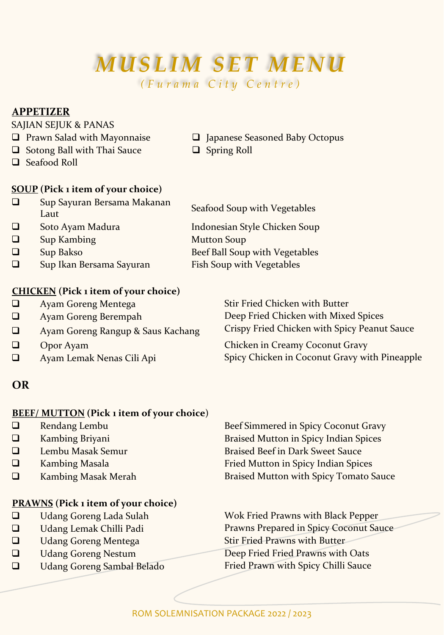# **MUSLIM SET MENU**

*( F u r a m a C i t y C e n t r e )*

#### **APPETIZER**

#### SAJIAN SEJUK & PANAS

- ❑ Prawn Salad with Mayonnaise ❑ Japanese Seasoned Baby Octopus
- ❑ Sotong Ball with Thai Sauce ❑ Spring Roll
- ❑ Seafood Roll

#### **SOUP (Pick 1 item of your choice)**

| □ | Sup Sayuran Bersama Makanan<br>Laut | Seafood Soup with Vegetables   |
|---|-------------------------------------|--------------------------------|
| □ | Soto Ayam Madura                    | Indonesian Style Chicken Soup  |
| □ | Sup Kambing                         | <b>Mutton Soup</b>             |
| □ | Sup Bakso                           | Beef Ball Soup with Vegetables |
| □ | Sup Ikan Bersama Sayuran            | Fish Soup with Vegetables      |
|   |                                     |                                |

#### **CHICKEN (Pick 1 item of your choice)**

- ❑ Ayam Goreng Mentega Stir Fried Chicken with Butter
- 
- ❑ Ayam Goreng Rangup & Saus Kachang Crispy Fried Chicken with Spicy Peanut Sauce
- 
- 

#### **OR**

#### **BEEF/ MUTTON (Pick 1 item of your choice**)

- 
- 
- 
- 
- 

#### **PRAWNS (Pick 1 item of your choice)**

- 
- 
- □ Udang Goreng Mentega Stir Fried Prawns with Butter
- 
- 

❑ Rendang Lembu Beef Simmered in Spicy Coconut Gravy ❑ Kambing Briyani Braised Mutton in Spicy Indian Spices ❑ Lembu Masak Semur Braised Beef in Dark Sweet Sauce ❑ Kambing Masala Fried Mutton in Spicy Indian Spices ❑ Kambing Masak Merah Braised Mutton with Spicy Tomato Sauce

❑ Udang Goreng Lada Sulah Wok Fried Prawns with Black Pepper ❑ Udang Lemak Chilli Padi Prawns Prepared in Spicy Coconut Sauce ❑ Udang Goreng Nestum Deep Fried Fried Prawns with Oats ❑ Udang Goreng Sambal Belado Fried Prawn with Spicy Chilli Sauce

❑ Ayam Goreng Berempah Deep Fried Chicken with Mixed Spices

❑ Opor Ayam Chicken in Creamy Coconut Gravy ❑ Ayam Lemak Nenas Cili Api Spicy Chicken in Coconut Gravy with Pineapple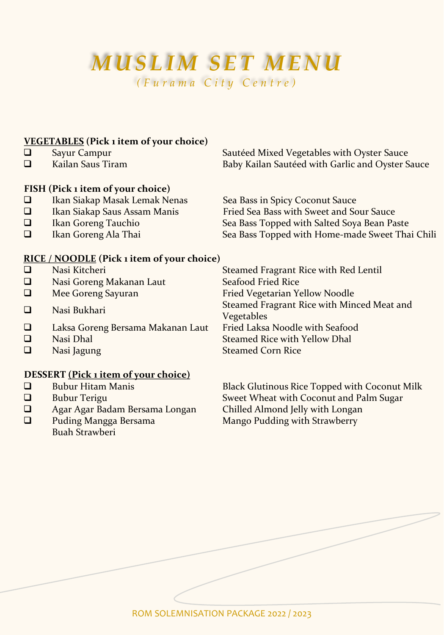### *MUSLIM SET MENU ( F u r a m a C i t y C e n t r e )*

### **VEGETABLES (Pick 1 item of your choice)**

- 
- 

### **FISH (Pick 1 item of your choice)**

- 
- 
- 
- 

❑ Sayur Campur Sautéed Mixed Vegetables with Oyster Sauce Baby Kailan Sautéed with Garlic and Oyster Sauce

❑ Ikan Siakap Masak Lemak Nenas Sea Bass in Spicy Coconut Sauce Fried Sea Bass with Sweet and Sour Sauce ❑ Ikan Goreng Tauchio Sea Bass Topped with Salted Soya Bean Paste Sea Bass Topped with Home-made Sweet Thai Chili

#### **RICE / NOODLE (Pick 1 item of your choice)**

| ❏                                    | Nasi Kitcheri                     | Steamed Fragrant Rice with Red Lentil                    |  |
|--------------------------------------|-----------------------------------|----------------------------------------------------------|--|
| $\Box$                               | Nasi Goreng Makanan Laut          | Seafood Fried Rice                                       |  |
| □                                    | Mee Goreng Sayuran                | Fried Vegetarian Yellow Noodle                           |  |
| □                                    | Nasi Bukhari                      | Steamed Fragrant Rice with Minced Meat and<br>Vegetables |  |
| ❏                                    | Laksa Goreng Bersama Makanan Laut | Fried Laksa Noodle with Seafood                          |  |
| $\Box$                               | Nasi Dhal                         | Steamed Rice with Yellow Dhal                            |  |
| □                                    | Nasi Jagung                       | <b>Steamed Corn Rice</b>                                 |  |
| DESSERT (Pick 1 item of your choice) |                                   |                                                          |  |

- 
- ❑ Agar Agar Badam Bersama Longan Chilled Almond Jelly with Longan
- ❑ Puding Mangga Bersama Buah Strawberi

❑ Bubur Hitam Manis Black Glutinous Rice Topped with Coconut Milk Sweet Wheat with Coconut and Palm Sugar Mango Pudding with Strawberry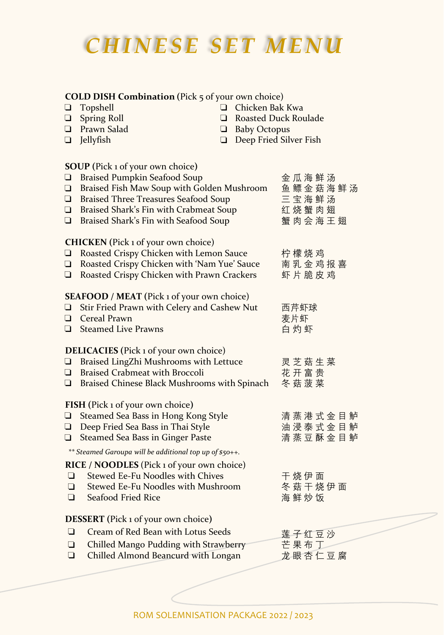### *C H I N E S E S E T M E N U*

**COLD DISH Combination (**Pick 5 of your own choice)

#### ❏ Topshell ❏ Chicken Bak Kwa ❏ Spring Roll ❏ Roasted Duck Roulade ❏ Prawn Salad ❏ Baby Octopus □ Deep Fried Silver Fish **SOUP (**Pick 1 of your own choice**) □** Braised Pumpkin Seafood Soup <br>● 金 瓜 海 鲜 汤 **□** Braised Fish Maw Soup with Golden Mushroom 鱼 鳔 金 菇 海 鲜 汤<br>□ Braised Three Treasures Seafood Soup 三 宝 海 鲜 汤 □ Braised Three Treasures Seafood Soup ❏ Braised Shark's Fin with Crabmeat Soup 红 烧 蟹 肉 翅<br>❑ Braised Shark's Fin with Seafood Soup 蟹 肉 会 海 王 翅  $\Box$  Braised Shark's Fin with Seafood Soup **CHICKEN (**Pick 1 of your own choice) **□** Roasted Crispy Chicken with Lemon Sauce 柠檬烧鸡 ❏ Roasted Crispy Chicken with 'Nam Yue' Sauce 南 乳 金 鸡 报 喜  $\Box$  Roasted Crispy Chicken with Prawn Crackers **SEAFOOD / MEAT (**Pick 1 of your own choice) ❏ Stir Fried Prawn with Celery and Cashew Nut 西芹虾球 **□** Cereal Prawn **be a control □** Steamed Live Prawns <br>□ **白灼虾 DELICACIES (**Pick 1 of your own choice) **□** Braised LingZhi Mushrooms with Lettuce 灵 芝 菇 生 菜<br>□ Braised Crabmeat with Broccoli 花 开 富 贵  $\Box$  Braised Crabmeat with Broccoli **□** Braised Chinese Black Mushrooms with Spinach 冬菇菠菜 **FISH (**Pick 1 of your own choice**)** □ Steamed Sea Bass in Hong Kong Style 清蒸港式金目鲈 ❏ Deep Fried Sea Bass in Thai Style 油 浸 泰 式 金 目 鲈<br>❏ Steamed Sea Bass in Ginger Paste 清 蒸 豆 酥 金 目 鲈  $\Box$  Steamed Sea Bass in Ginger Paste **RICE / NOODLES** (Pick 1 of your own choice) **□** Stewed Ee-Fu Noodles with Chives TK 伊 面 ❏ Stewed Ee-Fu Noodles with Mushroom 冬 菇 干 烧 伊 面 ❏ Seafood Fried Rice 海 鲜 炒 饭 **DESSERT (**Pick 1 of your own choice**) □** Cream of Red Bean with Lotus Seeds **莲子红豆沙** ❏ Chilled Mango Pudding with Strawberry 芒 果 布 丁 ❏ Chilled Almond Beancurd with Longan 龙 眼 杏 仁 豆 腐 *\*\* Steamed Garoupa will be additional top up of \$50++.*